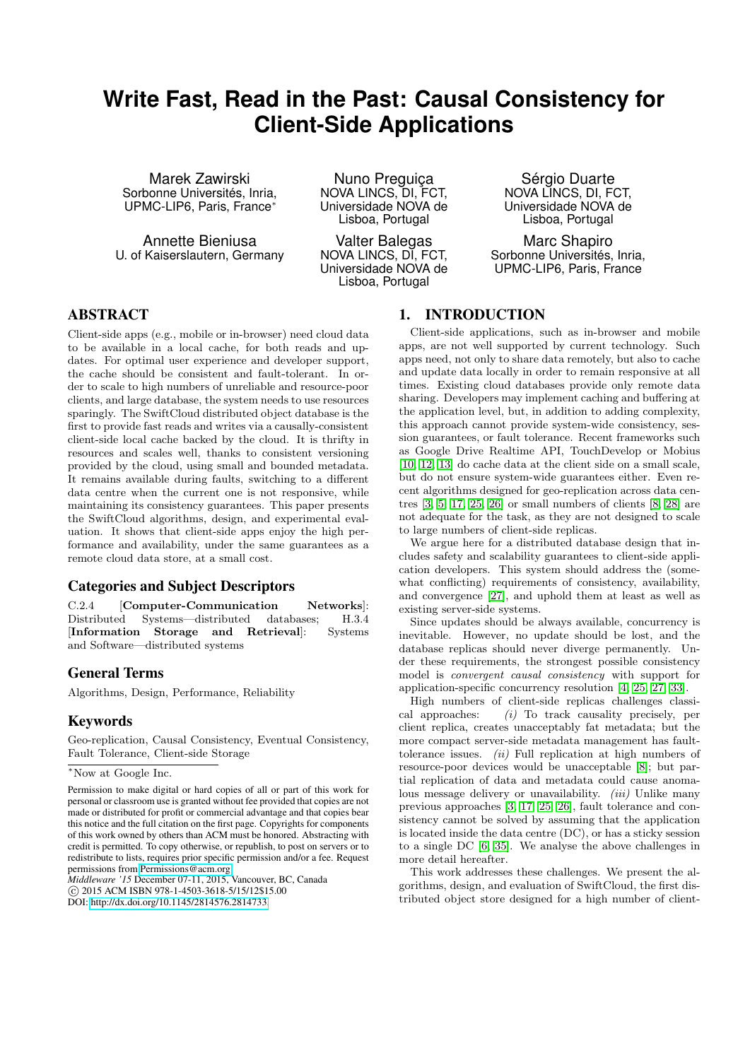# **Write Fast, Read in the Past: Causal Consistency for Client-Side Applications**

Marek Zawirski Sorbonne Universités, Inria, UPMC-LIP6, Paris, France<sup>∗</sup>

Annette Bieniusa U. of Kaiserslautern, Germany

Nuno Preguiça NOVA LINCS, DI, FCT, Universidade NOVA de Lisboa, Portugal

Valter Balegas NOVA LINCS, DI, FCT, Universidade NOVA de Lisboa, Portugal

Sérgio Duarte NOVA LINCS, DI, FCT, Universidade NOVA de Lisboa, Portugal

Marc Shapiro Sorbonne Universités, Inria, UPMC-LIP6, Paris, France

# ABSTRACT

Client-side apps (e.g., mobile or in-browser) need cloud data to be available in a local cache, for both reads and updates. For optimal user experience and developer support, the cache should be consistent and fault-tolerant. In order to scale to high numbers of unreliable and resource-poor clients, and large database, the system needs to use resources sparingly. The SwiftCloud distributed object database is the first to provide fast reads and writes via a causally-consistent client-side local cache backed by the cloud. It is thrifty in resources and scales well, thanks to consistent versioning provided by the cloud, using small and bounded metadata. It remains available during faults, switching to a different data centre when the current one is not responsive, while maintaining its consistency guarantees. This paper presents the SwiftCloud algorithms, design, and experimental evaluation. It shows that client-side apps enjoy the high performance and availability, under the same guarantees as a remote cloud data store, at a small cost.

## Categories and Subject Descriptors

C.2.4 [Computer-Communication Networks]: Distributed Systems—distributed databases; H.3.4 [Information Storage and Retrieval]: Systems and Software—distributed systems

## General Terms

Algorithms, Design, Performance, Reliability

## Keywords

Geo-replication, Causal Consistency, Eventual Consistency, Fault Tolerance, Client-side Storage

<sup>∗</sup>Now at Google Inc.

*Middleware '15* December 07-11, 2015, Vancouver, BC, Canada

c 2015 ACM ISBN 978-1-4503-3618-5/15/12\$15.00

DOI: [http://dx.doi.org/10.1145/2814576.2814733.](http://dx.doi.org/10.1145/2814576.2814733)

## 1. INTRODUCTION

Client-side applications, such as in-browser and mobile apps, are not well supported by current technology. Such apps need, not only to share data remotely, but also to cache and update data locally in order to remain responsive at all times. Existing cloud databases provide only remote data sharing. Developers may implement caching and buffering at the application level, but, in addition to adding complexity, this approach cannot provide system-wide consistency, session guarantees, or fault tolerance. Recent frameworks such as Google Drive Realtime API, TouchDevelop or Mobius [\[10,](#page-11-0) [12,](#page-11-1) [13\]](#page-11-2) do cache data at the client side on a small scale, but do not ensure system-wide guarantees either. Even recent algorithms designed for geo-replication across data centres [\[3,](#page-11-3) [5,](#page-11-4) [17,](#page-11-5) [25,](#page-11-6) [26\]](#page-12-0) or small numbers of clients [\[8,](#page-11-7) [28\]](#page-12-1) are not adequate for the task, as they are not designed to scale to large numbers of client-side replicas.

We argue here for a distributed database design that includes safety and scalability guarantees to client-side application developers. This system should address the (somewhat conflicting) requirements of consistency, availability, and convergence [\[27\]](#page-12-2), and uphold them at least as well as existing server-side systems.

Since updates should be always available, concurrency is inevitable. However, no update should be lost, and the database replicas should never diverge permanently. Under these requirements, the strongest possible consistency model is convergent causal consistency with support for application-specific concurrency resolution [\[4,](#page-11-8) [25,](#page-11-6) [27,](#page-12-2) [33\]](#page-12-3).

High numbers of client-side replicas challenges classical approaches: (i) To track causality precisely, per client replica, creates unacceptably fat metadata; but the more compact server-side metadata management has faulttolerance issues.  $(ii)$  Full replication at high numbers of resource-poor devices would be unacceptable [\[8\]](#page-11-7); but partial replication of data and metadata could cause anomalous message delivery or unavailability. *(iii)* Unlike many previous approaches [\[3,](#page-11-3) [17,](#page-11-5) [25,](#page-11-6) [26\]](#page-12-0), fault tolerance and consistency cannot be solved by assuming that the application is located inside the data centre (DC), or has a sticky session to a single DC [\[6,](#page-11-9) [35\]](#page-12-4). We analyse the above challenges in more detail hereafter.

This work addresses these challenges. We present the algorithms, design, and evaluation of SwiftCloud, the first distributed object store designed for a high number of client-

Permission to make digital or hard copies of all or part of this work for personal or classroom use is granted without fee provided that copies are not made or distributed for profit or commercial advantage and that copies bear this notice and the full citation on the first page. Copyrights for components of this work owned by others than ACM must be honored. Abstracting with credit is permitted. To copy otherwise, or republish, to post on servers or to redistribute to lists, requires prior specific permission and/or a fee. Request permissions from [Permissions@acm.org.](mailto:Permissions@acm.org)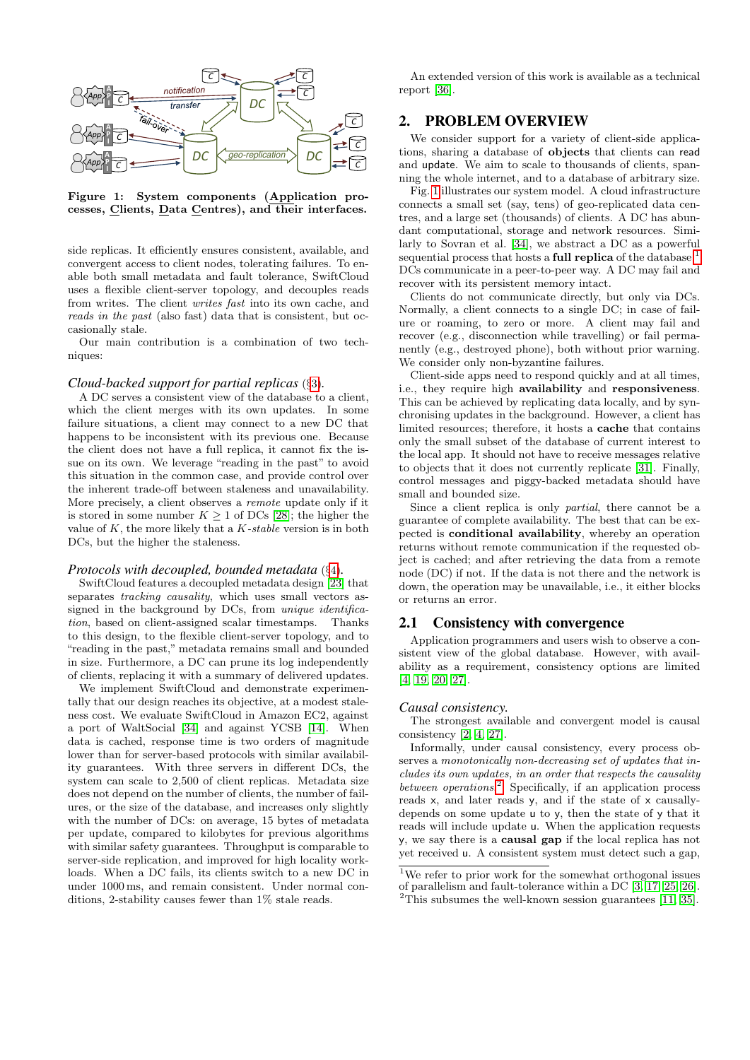

<span id="page-1-0"></span>Figure 1: System components (Application processes, Clients, Data Centres), and their interfaces.

side replicas. It efficiently ensures consistent, available, and convergent access to client nodes, tolerating failures. To enable both small metadata and fault tolerance, SwiftCloud uses a flexible client-server topology, and decouples reads from writes. The client writes fast into its own cache, and reads in the past (also fast) data that is consistent, but occasionally stale.

Our main contribution is a combination of two techniques:

#### *Cloud-backed support for partial replicas* (§[3\)](#page-2-0)*.*

A DC serves a consistent view of the database to a client, which the client merges with its own updates. In some failure situations, a client may connect to a new DC that happens to be inconsistent with its previous one. Because the client does not have a full replica, it cannot fix the issue on its own. We leverage "reading in the past" to avoid this situation in the common case, and provide control over the inherent trade-off between staleness and unavailability. More precisely, a client observes a remote update only if it is stored in some number  $K \geq 1$  of DCs [\[28\]](#page-12-1); the higher the value of  $K$ , the more likely that a  $K$ -stable version is in both DCs, but the higher the staleness.

#### *Protocols with decoupled, bounded metadata* (§[4\)](#page-4-0)*.*

SwiftCloud features a decoupled metadata design [\[23\]](#page-11-10) that separates *tracking causality*, which uses small vectors assigned in the background by DCs, from unique identification, based on client-assigned scalar timestamps. Thanks to this design, to the flexible client-server topology, and to "reading in the past," metadata remains small and bounded in size. Furthermore, a DC can prune its log independently of clients, replacing it with a summary of delivered updates.

We implement SwiftCloud and demonstrate experimentally that our design reaches its objective, at a modest staleness cost. We evaluate SwiftCloud in Amazon EC2, against a port of WaltSocial [\[34\]](#page-12-5) and against YCSB [\[14\]](#page-11-11). When data is cached, response time is two orders of magnitude lower than for server-based protocols with similar availability guarantees. With three servers in different DCs, the system can scale to 2,500 of client replicas. Metadata size does not depend on the number of clients, the number of failures, or the size of the database, and increases only slightly with the number of DCs: on average, 15 bytes of metadata per update, compared to kilobytes for previous algorithms with similar safety guarantees. Throughput is comparable to server-side replication, and improved for high locality workloads. When a DC fails, its clients switch to a new DC in under 1000 ms, and remain consistent. Under normal conditions, 2-stability causes fewer than 1% stale reads.

An extended version of this work is available as a technical report [\[36\]](#page-12-6).

## 2. PROBLEM OVERVIEW

We consider support for a variety of client-side applications, sharing a database of objects that clients can read and update. We aim to scale to thousands of clients, spanning the whole internet, and to a database of arbitrary size.

Fig. [1](#page-1-0) illustrates our system model. A cloud infrastructure connects a small set (say, tens) of geo-replicated data centres, and a large set (thousands) of clients. A DC has abundant computational, storage and network resources. Similarly to Sovran et al. [\[34\]](#page-12-5), we abstract a DC as a powerful sequential process that hosts a **full replica** of the database.<sup>[1](#page-1-1)</sup> DCs communicate in a peer-to-peer way. A DC may fail and recover with its persistent memory intact.

Clients do not communicate directly, but only via DCs. Normally, a client connects to a single DC; in case of failure or roaming, to zero or more. A client may fail and recover (e.g., disconnection while travelling) or fail permanently (e.g., destroyed phone), both without prior warning. We consider only non-byzantine failures.

Client-side apps need to respond quickly and at all times, i.e., they require high availability and responsiveness. This can be achieved by replicating data locally, and by synchronising updates in the background. However, a client has limited resources; therefore, it hosts a cache that contains only the small subset of the database of current interest to the local app. It should not have to receive messages relative to objects that it does not currently replicate [\[31\]](#page-12-7). Finally, control messages and piggy-backed metadata should have small and bounded size.

Since a client replica is only partial, there cannot be a guarantee of complete availability. The best that can be expected is conditional availability, whereby an operation returns without remote communication if the requested object is cached; and after retrieving the data from a remote node (DC) if not. If the data is not there and the network is down, the operation may be unavailable, i.e., it either blocks or returns an error.

#### 2.1 Consistency with convergence

Application programmers and users wish to observe a consistent view of the global database. However, with availability as a requirement, consistency options are limited [\[4,](#page-11-8) [19,](#page-11-12) [20,](#page-11-13) [27\]](#page-12-2).

#### *Causal consistency.*

The strongest available and convergent model is causal consistency [\[2,](#page-11-14) [4,](#page-11-8) [27\]](#page-12-2).

Informally, under causal consistency, every process observes a monotonically non-decreasing set of updates that includes its own updates, in an order that respects the causality between operations. [2](#page-1-2) Specifically, if an application process reads x, and later reads y, and if the state of x causallydepends on some update u to y, then the state of y that it reads will include update u. When the application requests y, we say there is a causal gap if the local replica has not yet received u. A consistent system must detect such a gap,

<span id="page-1-2"></span><span id="page-1-1"></span> $^1\rm{We}$  refer to prior work for the somewhat orthogonal issues of parallelism and fault-tolerance within a DC [\[3,](#page-11-3) [17,](#page-11-5) [25,](#page-11-6) [26\]](#page-12-0). <sup>2</sup>This subsumes the well-known session guarantees  $[11, 35]$  $[11, 35]$ .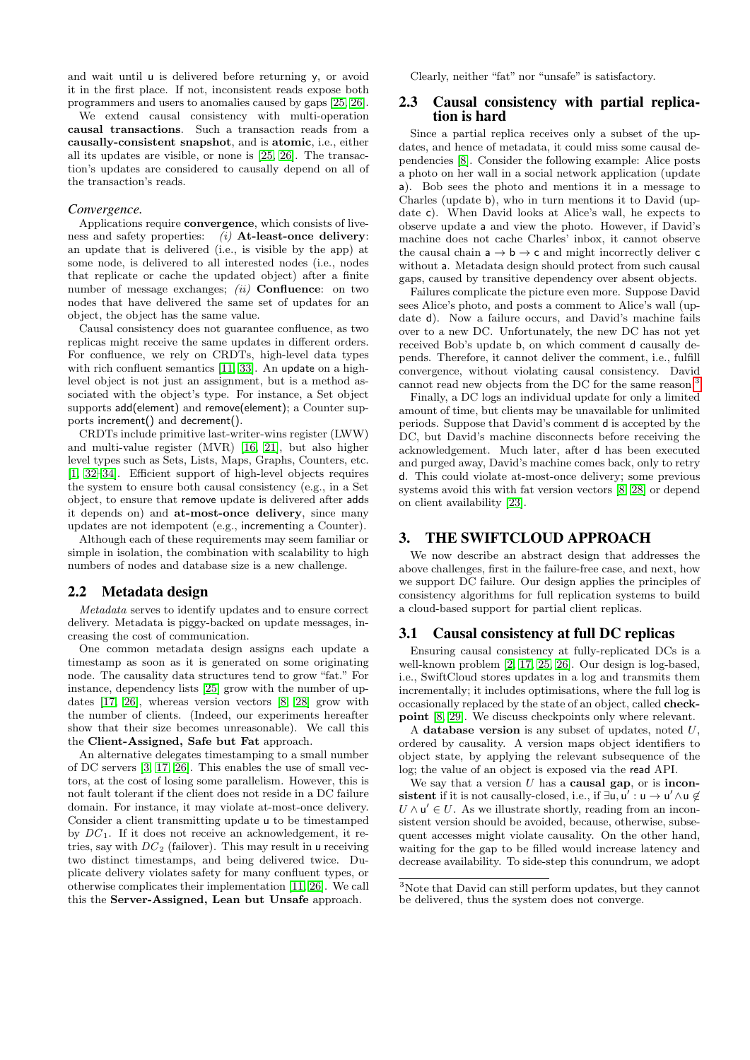and wait until u is delivered before returning y, or avoid it in the first place. If not, inconsistent reads expose both programmers and users to anomalies caused by gaps [\[25,](#page-11-6) [26\]](#page-12-0).

We extend causal consistency with multi-operation causal transactions. Such a transaction reads from a causally-consistent snapshot, and is atomic, i.e., either all its updates are visible, or none is [\[25,](#page-11-6) [26\]](#page-12-0). The transaction's updates are considered to causally depend on all of the transaction's reads.

#### *Convergence.*

Applications require convergence, which consists of liveness and safety properties:  $(i)$  At-least-once delivery: an update that is delivered (i.e., is visible by the app) at some node, is delivered to all interested nodes (i.e., nodes that replicate or cache the updated object) after a finite number of message exchanges;  $(ii)$  **Confluence**: on two nodes that have delivered the same set of updates for an object, the object has the same value.

Causal consistency does not guarantee confluence, as two replicas might receive the same updates in different orders. For confluence, we rely on CRDTs, high-level data types with rich confluent semantics [\[11,](#page-11-15) [33\]](#page-12-3). An update on a highlevel object is not just an assignment, but is a method associated with the object's type. For instance, a Set object supports add(element) and remove(element); a Counter supports increment() and decrement().

CRDTs include primitive last-writer-wins register (LWW) and multi-value register (MVR) [\[16,](#page-11-16) [21\]](#page-11-17), but also higher level types such as Sets, Lists, Maps, Graphs, Counters, etc. [\[1,](#page-11-18) [32](#page-12-8)[–34\]](#page-12-5). Efficient support of high-level objects requires the system to ensure both causal consistency (e.g., in a Set object, to ensure that remove update is delivered after adds it depends on) and at-most-once delivery, since many updates are not idempotent (e.g., incrementing a Counter).

Although each of these requirements may seem familiar or simple in isolation, the combination with scalability to high numbers of nodes and database size is a new challenge.

## 2.2 Metadata design

Metadata serves to identify updates and to ensure correct delivery. Metadata is piggy-backed on update messages, increasing the cost of communication.

One common metadata design assigns each update a timestamp as soon as it is generated on some originating node. The causality data structures tend to grow "fat." For instance, dependency lists [\[25\]](#page-11-6) grow with the number of updates [\[17,](#page-11-5) [26\]](#page-12-0), whereas version vectors [\[8,](#page-11-7) [28\]](#page-12-1) grow with the number of clients. (Indeed, our experiments hereafter show that their size becomes unreasonable). We call this the Client-Assigned, Safe but Fat approach.

An alternative delegates timestamping to a small number of DC servers [\[3,](#page-11-3) [17,](#page-11-5) [26\]](#page-12-0). This enables the use of small vectors, at the cost of losing some parallelism. However, this is not fault tolerant if the client does not reside in a DC failure domain. For instance, it may violate at-most-once delivery. Consider a client transmitting update u to be timestamped by  $DC_1$ . If it does not receive an acknowledgement, it retries, say with  $DC_2$  (failover). This may result in u receiving two distinct timestamps, and being delivered twice. Duplicate delivery violates safety for many confluent types, or otherwise complicates their implementation [\[11,](#page-11-15) [26\]](#page-12-0). We call this the Server-Assigned, Lean but Unsafe approach.

Clearly, neither "fat" nor "unsafe" is satisfactory.

## <span id="page-2-2"></span>2.3 Causal consistency with partial replication is hard

Since a partial replica receives only a subset of the updates, and hence of metadata, it could miss some causal dependencies [\[8\]](#page-11-7). Consider the following example: Alice posts a photo on her wall in a social network application (update a). Bob sees the photo and mentions it in a message to Charles (update b), who in turn mentions it to David (update c). When David looks at Alice's wall, he expects to observe update a and view the photo. However, if David's machine does not cache Charles' inbox, it cannot observe the causal chain  $a \rightarrow b \rightarrow c$  and might incorrectly deliver c without a. Metadata design should protect from such causal gaps, caused by transitive dependency over absent objects.

Failures complicate the picture even more. Suppose David sees Alice's photo, and posts a comment to Alice's wall (update d). Now a failure occurs, and David's machine fails over to a new DC. Unfortunately, the new DC has not yet received Bob's update b, on which comment d causally depends. Therefore, it cannot deliver the comment, i.e., fulfill convergence, without violating causal consistency. David cannot read new objects from the DC for the same reason.<sup>[3](#page-2-1)</sup>

Finally, a DC logs an individual update for only a limited amount of time, but clients may be unavailable for unlimited periods. Suppose that David's comment d is accepted by the DC, but David's machine disconnects before receiving the acknowledgement. Much later, after d has been executed and purged away, David's machine comes back, only to retry d. This could violate at-most-once delivery; some previous systems avoid this with fat version vectors [\[8,](#page-11-7) [28\]](#page-12-1) or depend on client availability [\[23\]](#page-11-10).

## <span id="page-2-0"></span>3. THE SWIFTCLOUD APPROACH

We now describe an abstract design that addresses the above challenges, first in the failure-free case, and next, how we support DC failure. Our design applies the principles of consistency algorithms for full replication systems to build a cloud-based support for partial client replicas.

## 3.1 Causal consistency at full DC replicas

Ensuring causal consistency at fully-replicated DCs is a well-known problem [\[2,](#page-11-14) [17,](#page-11-5) [25,](#page-11-6) [26\]](#page-12-0). Our design is log-based, i.e., SwiftCloud stores updates in a log and transmits them incrementally; it includes optimisations, where the full log is occasionally replaced by the state of an object, called checkpoint [\[8,](#page-11-7) [29\]](#page-12-9). We discuss checkpoints only where relevant.

A database version is any subset of updates, noted  $U$ , ordered by causality. A version maps object identifiers to object state, by applying the relevant subsequence of the log; the value of an object is exposed via the read API.

We say that a version  $U$  has a **causal gap**, or is **incon**sistent if it is not causally-closed, i.e., if  $\exists u, u' : u \rightarrow u' \wedge u \notin$  $U \wedge u' \in U$ . As we illustrate shortly, reading from an inconsistent version should be avoided, because, otherwise, subsequent accesses might violate causality. On the other hand, waiting for the gap to be filled would increase latency and decrease availability. To side-step this conundrum, we adopt

<span id="page-2-1"></span><sup>3</sup>Note that David can still perform updates, but they cannot be delivered, thus the system does not converge.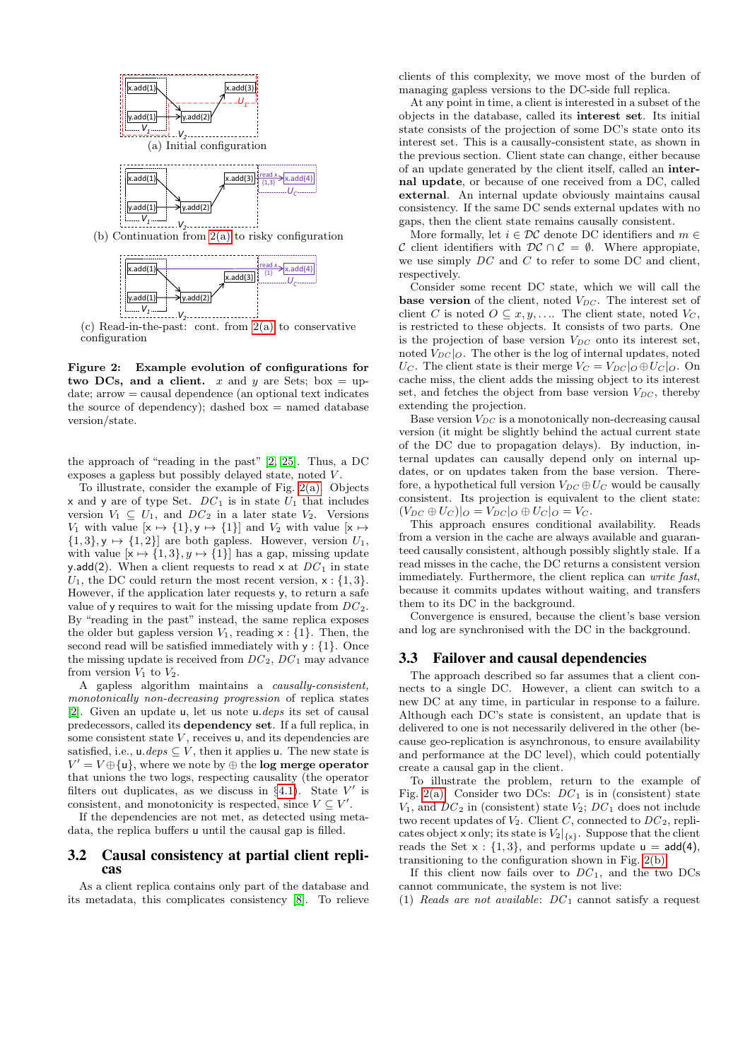<span id="page-3-0"></span>

<span id="page-3-2"></span><span id="page-3-1"></span>*w*<sub>1</sub> *v*<sub>1</sub> *v*<sub>1</sub> *v*<sub>2</sub> *v*<sub>2</sub> *v*<sub>2</sub> *v*<sub>2</sub> *v*<sub>2</sub> *v*<sub>2</sub> *v* (c) Read-in-the-past: cont. from  $2(a)$  to conservative configuration

Figure 2: Example evolution of configurations for two DCs, and a client. x and y are Sets; box  $=$  update; arrow = causal dependence (an optional text indicates the source of dependency); dashed box  $=$  named database version/state.

the approach of "reading in the past" [\[2,](#page-11-14) [25\]](#page-11-6). Thus, a DC exposes a gapless but possibly delayed state, noted V .

To illustrate, consider the example of Fig. [2\(a\).](#page-3-0) Objects x and y are of type Set.  $DC_1$  is in state  $U_1$  that includes version  $V_1 \subseteq U_1$ , and  $DC_2$  in a later state  $V_2$ . Versions  $V_1$  with value  $[x \mapsto {1}, y \mapsto {1}]$  and  $V_2$  with value  $[x \mapsto$  $\{1, 3\}, y \mapsto \{1, 2\}$  are both gapless. However, version  $U_1$ , with value  $[x \mapsto \{1, 3\}, y \mapsto \{1\}]$  has a gap, missing update y.add(2). When a client requests to read x at  $DC_1$  in state  $U_1$ , the DC could return the most recent version,  $x : \{1,3\}.$ However, if the application later requests y, to return a safe value of y requires to wait for the missing update from  $DC_2$ . By "reading in the past" instead, the same replica exposes the older but gapless version  $V_1$ , reading  $x : \{1\}$ . Then, the second read will be satisfied immediately with  $y : \{1\}$ . Once the missing update is received from  $DC_2$ ,  $DC_1$  may advance from version  $V_1$  to  $V_2$ .

A gapless algorithm maintains a causally-consistent, monotonically non-decreasing progression of replica states [\[2\]](#page-11-14). Given an update u, let us note u.deps its set of causal predecessors, called its dependency set. If a full replica, in some consistent state  $V$ , receives  $u$ , and its dependencies are satisfied, i.e.,  $u \cdot deps \subseteq V$ , then it applies u. The new state is  $V' = V \oplus \{u\}$ , where we note by  $\oplus$  the log merge operator that unions the two logs, respecting causality (the operator filters out duplicates, as we discuss in §[4.1\)](#page-4-1). State  $V'$  is consistent, and monotonicity is respected, since  $V \subseteq V'$ .

If the dependencies are not met, as detected using metadata, the replica buffers u until the causal gap is filled.

## <span id="page-3-3"></span>3.2 Causal consistency at partial client replicas

As a client replica contains only part of the database and its metadata, this complicates consistency [\[8\]](#page-11-7). To relieve

clients of this complexity, we move most of the burden of managing gapless versions to the DC-side full replica.

At any point in time, a client is interested in a subset of the objects in the database, called its interest set. Its initial state consists of the projection of some DC's state onto its interest set. This is a causally-consistent state, as shown in the previous section. Client state can change, either because of an update generated by the client itself, called an internal update, or because of one received from a DC, called external. An internal update obviously maintains causal consistency. If the same DC sends external updates with no gaps, then the client state remains causally consistent.

More formally, let  $i \in \mathcal{DC}$  denote DC identifiers and  $m \in$ C client identifiers with  $\mathcal{DC} \cap \mathcal{C} = \emptyset$ . Where appropiate, we use simply  $DC$  and  $C$  to refer to some DC and client, respectively.

Consider some recent DC state, which we will call the **base version** of the client, noted  $V_{DC}$ . The interest set of client C is noted  $O \subseteq x, y, \ldots$  The client state, noted  $V_C$ , is restricted to these objects. It consists of two parts. One is the projection of base version  $V_{DC}$  onto its interest set, noted  $V_{DC}|_O$ . The other is the log of internal updates, noted  $U_C$ . The client state is their merge  $V_C = V_{DC} \vert_O \oplus U_C \vert_O$ . On cache miss, the client adds the missing object to its interest set, and fetches the object from base version  $V_{DC}$ , thereby extending the projection.

Base version  $V_{DC}$  is a monotonically non-decreasing causal version (it might be slightly behind the actual current state of the DC due to propagation delays). By induction, internal updates can causally depend only on internal updates, or on updates taken from the base version. Therefore, a hypothetical full version  $V_{DC} \oplus U_C$  would be causally consistent. Its projection is equivalent to the client state:  $(V_{DC} \oplus U_C)|_O = V_{DC}|_O \oplus U_C|_O = V_C.$ 

This approach ensures conditional availability. Reads from a version in the cache are always available and guaranteed causally consistent, although possibly slightly stale. If a read misses in the cache, the DC returns a consistent version immediately. Furthermore, the client replica can write fast, because it commits updates without waiting, and transfers them to its DC in the background.

Convergence is ensured, because the client's base version and log are synchronised with the DC in the background.

#### 3.3 Failover and causal dependencies

The approach described so far assumes that a client connects to a single DC. However, a client can switch to a new DC at any time, in particular in response to a failure. Although each DC's state is consistent, an update that is delivered to one is not necessarily delivered in the other (because geo-replication is asynchronous, to ensure availability and performance at the DC level), which could potentially create a causal gap in the client.

To illustrate the problem, return to the example of Fig. [2\(a\).](#page-3-0) Consider two DCs:  $DC_1$  is in (consistent) state  $V_1$ , and  $DC_2$  in (consistent) state  $V_2$ ;  $DC_1$  does not include two recent updates of  $V_2$ . Client C, connected to  $DC_2$ , replicates object x only; its state is  $V_2|_{\{x\}}$ . Suppose that the client reads the Set  $x : \{1,3\}$ , and performs update  $u = add(4)$ , transitioning to the configuration shown in Fig. [2\(b\).](#page-3-1)

If this client now fails over to  $DC_1$ , and the two DCs cannot communicate, the system is not live:

(1) Reads are not available:  $DC_1$  cannot satisfy a request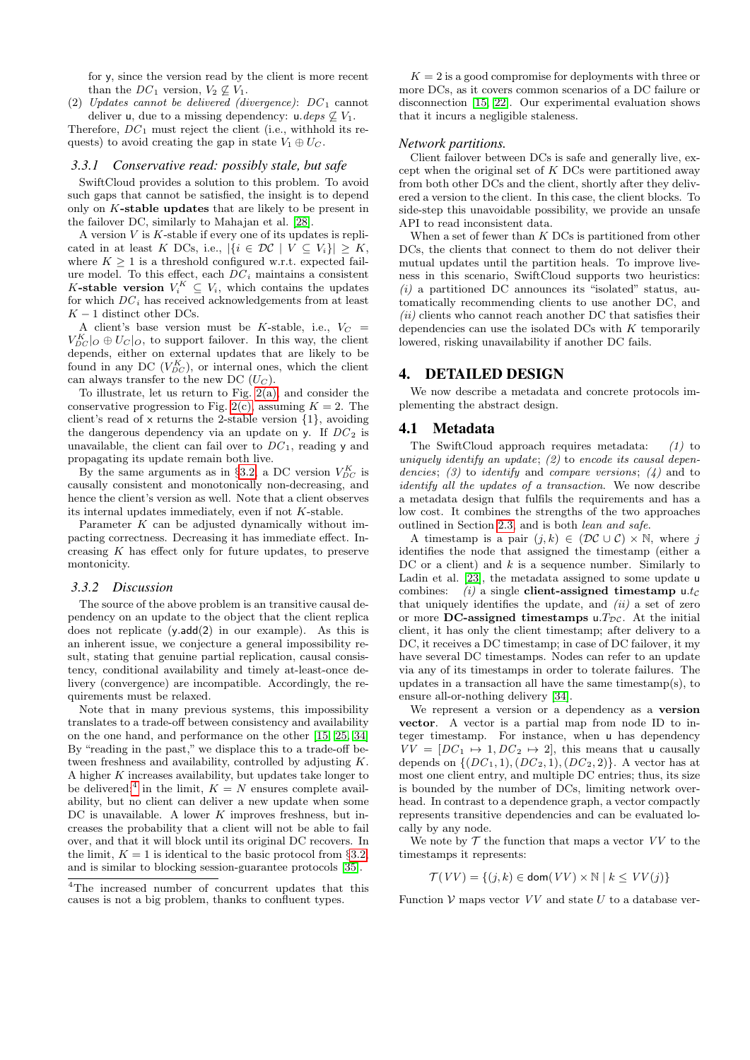for y, since the version read by the client is more recent than the  $DC_1$  version,  $V_2 \not\subseteq V_1$ .

(2) Updates cannot be delivered (divergence):  $DC_1$  cannot deliver u, due to a missing dependency: u.deps  $\nsubseteq V_1$ .

Therefore,  $DC_1$  must reject the client (i.e., withhold its requests) to avoid creating the gap in state  $V_1 \oplus U_C$ .

#### <span id="page-4-3"></span>*3.3.1 Conservative read: possibly stale, but safe*

SwiftCloud provides a solution to this problem. To avoid such gaps that cannot be satisfied, the insight is to depend only on K-stable updates that are likely to be present in the failover DC, similarly to Mahajan et al. [\[28\]](#page-12-1).

A version  $V$  is  $K$ -stable if every one of its updates is replicated in at least K DCs, i.e.,  $|\{i \in \mathcal{DC} \mid V \subseteq V_i\}| \geq K$ , where  $K \geq 1$  is a threshold configured w.r.t. expected failure model. To this effect, each  $DC_i$  maintains a consistent K-stable version  $V_i^K \subseteq V_i$ , which contains the updates for which  $DC_i$  has received acknowledgements from at least  $K - 1$  distinct other DCs.

A client's base version must be K-stable, i.e.,  $V_C =$  $V_{DC}^{K}|_{O} \oplus U_{C}|_{O}$ , to support failover. In this way, the client depends, either on external updates that are likely to be found in any DC  $(V_{DC}^K)$ , or internal ones, which the client can always transfer to the new DC  $(U_C)$ .

To illustrate, let us return to Fig.  $2(a)$ , and consider the conservative progression to Fig. [2\(c\),](#page-3-2) assuming  $K = 2$ . The client's read of x returns the 2-stable version {1}, avoiding the dangerous dependency via an update on y. If  $DC_2$  is unavailable, the client can fail over to  $DC_1$ , reading y and propagating its update remain both live.

By the same arguments as in §[3.2,](#page-3-3) a DC version  $V_{DC}^K$  is causally consistent and monotonically non-decreasing, and hence the client's version as well. Note that a client observes its internal updates immediately, even if not  $K$ -stable.

Parameter K can be adjusted dynamically without impacting correctness. Decreasing it has immediate effect. Increasing  $K$  has effect only for future updates, to preserve montonicity.

#### <span id="page-4-4"></span>*3.3.2 Discussion*

The source of the above problem is an transitive causal dependency on an update to the object that the client replica does not replicate (y.add(2) in our example). As this is an inherent issue, we conjecture a general impossibility result, stating that genuine partial replication, causal consistency, conditional availability and timely at-least-once delivery (convergence) are incompatible. Accordingly, the requirements must be relaxed.

Note that in many previous systems, this impossibility translates to a trade-off between consistency and availability on the one hand, and performance on the other [\[15,](#page-11-19) [25,](#page-11-6) [34\]](#page-12-5) By "reading in the past," we displace this to a trade-off between freshness and availability, controlled by adjusting K. A higher K increases availability, but updates take longer to be delivered;<sup>[4](#page-4-2)</sup> in the limit,  $K = N$  ensures complete availability, but no client can deliver a new update when some DC is unavailable. A lower  $K$  improves freshness, but increases the probability that a client will not be able to fail over, and that it will block until its original DC recovers. In the limit,  $K = 1$  is identical to the basic protocol from §[3.2,](#page-3-3) and is similar to blocking session-guarantee protocols [\[35\]](#page-12-4).

 $K = 2$  is a good compromise for deployments with three or more DCs, as it covers common scenarios of a DC failure or disconnection [\[15,](#page-11-19) [22\]](#page-11-20). Our experimental evaluation shows that it incurs a negligible staleness.

#### *Network partitions.*

Client failover between DCs is safe and generally live, except when the original set of  $K$  DCs were partitioned away from both other DCs and the client, shortly after they delivered a version to the client. In this case, the client blocks. To side-step this unavoidable possibility, we provide an unsafe API to read inconsistent data.

When a set of fewer than  $K$  DCs is partitioned from other DCs, the clients that connect to them do not deliver their mutual updates until the partition heals. To improve liveness in this scenario, SwiftCloud supports two heuristics:  $(i)$  a partitioned DC announces its "isolated" status, automatically recommending clients to use another DC, and  $(ii)$  clients who cannot reach another DC that satisfies their dependencies can use the isolated DCs with  $K$  temporarily lowered, risking unavailability if another DC fails.

## <span id="page-4-0"></span>4. DETAILED DESIGN

We now describe a metadata and concrete protocols implementing the abstract design.

#### <span id="page-4-1"></span>4.1 Metadata

The SwiftCloud approach requires metadata: (1) to uniquely identify an update;  $(2)$  to encode its causal dependencies; (3) to *identify* and *compare versions*; (4) and to identify all the updates of a transaction. We now describe a metadata design that fulfils the requirements and has a low cost. It combines the strengths of the two approaches outlined in Section [2.3,](#page-2-2) and is both lean and safe.

A timestamp is a pair  $(j, k) \in (DC \cup C) \times \mathbb{N}$ , where j identifies the node that assigned the timestamp (either a DC or a client) and  $k$  is a sequence number. Similarly to Ladin et al. [\[23\]](#page-11-10), the metadata assigned to some update u combines: (i) a single **client-assigned timestamp**  $u.t_c$ that uniquely identifies the update, and  $(ii)$  a set of zero or more DC-assigned timestamps u. $T_{DC}$ . At the initial client, it has only the client timestamp; after delivery to a DC, it receives a DC timestamp; in case of DC failover, it my have several DC timestamps. Nodes can refer to an update via any of its timestamps in order to tolerate failures. The updates in a transaction all have the same timestamp(s), to ensure all-or-nothing delivery [\[34\]](#page-12-5).

We represent a version or a dependency as a version vector. A vector is a partial map from node ID to integer timestamp. For instance, when u has dependency  $VV = [DC_1 \rightarrow 1, DC_2 \rightarrow 2]$ , this means that u causally depends on  $\{ (DC_1, 1), (DC_2, 1), (DC_2, 2) \}.$  A vector has at most one client entry, and multiple DC entries; thus, its size is bounded by the number of DCs, limiting network overhead. In contrast to a dependence graph, a vector compactly represents transitive dependencies and can be evaluated locally by any node.

We note by  $\mathcal T$  the function that maps a vector  $VV$  to the timestamps it represents:

 $\mathcal{T}(VV) = \{(i,k) \in \text{dom}(VV) \times \mathbb{N} \mid k \leq VV(i)\}$ 

Function  $V$  maps vector  $VV$  and state  $U$  to a database ver-

<span id="page-4-2"></span><sup>4</sup>The increased number of concurrent updates that this causes is not a big problem, thanks to confluent types.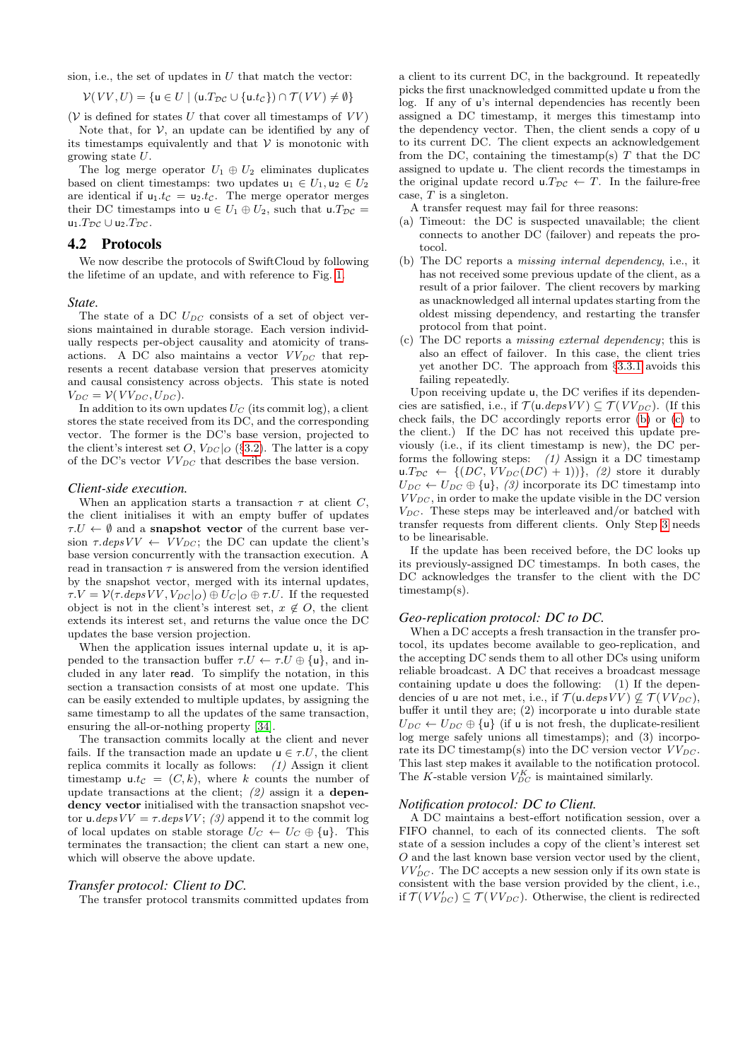sion, i.e., the set of updates in  $U$  that match the vector:

$$
\mathcal{V}(VV, U) = \{ \mathbf{u} \in U \mid (\mathbf{u}.\mathit{T}_{\mathcal{DC}} \cup \{ \mathbf{u}.t_{\mathcal{C}} \}) \cap \mathcal{T}(VV) \neq \emptyset \}
$$

 $(V$  is defined for states U that cover all timestamps of  $VV$ )

Note that, for  $V$ , an update can be identified by any of its timestamps equivalently and that  $V$  is monotonic with growing state U.

The log merge operator  $U_1 \oplus U_2$  eliminates duplicates based on client timestamps: two updates  $u_1 \in U_1, u_2 \in U_2$ are identical if  $u_1.t_c = u_2.t_c$ . The merge operator merges their DC timestamps into  $u \in U_1 \oplus U_2$ , such that  $u.T_{\mathcal{DC}} =$  $u_1.T_{DC} \cup u_2.T_{DC}.$ 

### 4.2 Protocols

We now describe the protocols of SwiftCloud by following the lifetime of an update, and with reference to Fig. [1.](#page-1-0)

#### *State.*

The state of a DC  $U_{DC}$  consists of a set of object versions maintained in durable storage. Each version individually respects per-object causality and atomicity of transactions. A DC also maintains a vector  $VV_{DC}$  that represents a recent database version that preserves atomicity and causal consistency across objects. This state is noted  $V_{DC} = \mathcal{V}(VV_{DC}, U_{DC})$ .

In addition to its own updates  $U_C$  (its commit log), a client stores the state received from its DC, and the corresponding vector. The former is the DC's base version, projected to the client's interest set O,  $V_{DC}|_O$  (§[3.2\)](#page-3-3). The latter is a copy of the DC's vector  $VV_{DC}$  that describes the base version.

#### *Client-side execution.*

When an application starts a transaction  $\tau$  at client C, the client initialises it with an empty buffer of updates  $\tau.U \leftarrow \emptyset$  and a **snapshot vector** of the current base version  $\tau \cdot depsVV \leftarrow VV_{DC}$ ; the DC can update the client's base version concurrently with the transaction execution. A read in transaction  $\tau$  is answered from the version identified by the snapshot vector, merged with its internal updates,  $\tau.V = \mathcal{V}(\tau.\text{days}VV, V_{DC}|_O) \oplus U_C|_O \oplus \tau.U.$  If the requested object is not in the client's interest set,  $x \notin O$ , the client extends its interest set, and returns the value once the DC updates the base version projection.

When the application issues internal update u, it is appended to the transaction buffer  $\tau.U \leftarrow \tau.U \oplus {\mathfrak{u}}$ , and included in any later read. To simplify the notation, in this section a transaction consists of at most one update. This can be easily extended to multiple updates, by assigning the same timestamp to all the updates of the same transaction, ensuring the all-or-nothing property [\[34\]](#page-12-5).

The transaction commits locally at the client and never fails. If the transaction made an update  $u \in \tau.U$ , the client replica commits it locally as follows: (1) Assign it client timestamp  $u.t_c = (C, k)$ , where k counts the number of update transactions at the client;  $(2)$  assign it a **depen**dency vector initialised with the transaction snapshot vector u.deps  $VV = \tau$ .deps  $VV$ ; (3) append it to the commit log of local updates on stable storage  $U_C \leftarrow U_C \oplus \{u\}$ . This terminates the transaction; the client can start a new one, which will observe the above update.

#### *Transfer protocol: Client to DC.*

The transfer protocol transmits committed updates from

a client to its current DC, in the background. It repeatedly picks the first unacknowledged committed update u from the log. If any of u's internal dependencies has recently been assigned a DC timestamp, it merges this timestamp into the dependency vector. Then, the client sends a copy of u to its current DC. The client expects an acknowledgement from the DC, containing the timestamp(s)  $T$  that the DC assigned to update u. The client records the timestamps in the original update record  $u.T_{\mathcal{DC}} \leftarrow T$ . In the failure-free case, T is a singleton.

A transfer request may fail for three reasons:

- (a) Timeout: the DC is suspected unavailable; the client connects to another DC (failover) and repeats the protocol.
- <span id="page-5-0"></span>(b) The DC reports a missing internal dependency, i.e., it has not received some previous update of the client, as a result of a prior failover. The client recovers by marking as unacknowledged all internal updates starting from the oldest missing dependency, and restarting the transfer protocol from that point.
- <span id="page-5-1"></span>(c) The DC reports a missing external dependency; this is also an effect of failover. In this case, the client tries yet another DC. The approach from §[3.3.1](#page-4-3) avoids this failing repeatedly.

Upon receiving update u, the DC verifies if its dependencies are satisfied, i.e., if  $\mathcal{T}(u.degVV) \subseteq \mathcal{T}(VV_{DC})$ . (If this check fails, the DC accordingly reports error [\(b\)](#page-5-0) or [\(c\)](#page-5-1) to the client.) If the DC has not received this update previously (i.e., if its client timestamp is new), the DC performs the following steps:  $(1)$  Assign it a DC timestamp  $u.T_{\mathcal{DC}} \leftarrow \{ (DC, \overline{V}V_{DC}(DC) + 1) \}, (2)$  store it durably  $U_{DC} \leftarrow U_{DC} \oplus \{u\},$  (3) incorporate its DC timestamp into  $VV_{DC}$ , in order to make the update visible in the DC version  $V_{DC}$ . These steps may be interleaved and/or batched with transfer requests from different clients. Only Step [3](#page-5-2) needs to be linearisable.

<span id="page-5-2"></span>If the update has been received before, the DC looks up its previously-assigned DC timestamps. In both cases, the DC acknowledges the transfer to the client with the DC timestamp(s).

#### *Geo-replication protocol: DC to DC.*

When a DC accepts a fresh transaction in the transfer protocol, its updates become available to geo-replication, and the accepting DC sends them to all other DCs using uniform reliable broadcast. A DC that receives a broadcast message containing update u does the following: (1) If the dependencies of u are not met, i.e., if  $\mathcal{T}(u.degVV) \nsubseteq \mathcal{T}(VV_{DC})$ , buffer it until they are; (2) incorporate u into durable state  $U_{DC} \leftarrow U_{DC} \oplus \{u\}$  (if u is not fresh, the duplicate-resilient log merge safely unions all timestamps); and (3) incorporate its DC timestamp(s) into the DC version vector  $VV_{DC}$ . This last step makes it available to the notification protocol. The K-stable version  $V_{DC}^{K}$  is maintained similarly.

## *Notification protocol: DC to Client.*

A DC maintains a best-effort notification session, over a FIFO channel, to each of its connected clients. The soft state of a session includes a copy of the client's interest set O and the last known base version vector used by the client,  $VV'_{DC}$ . The DC accepts a new session only if its own state is consistent with the base version provided by the client, i.e., if  $\mathcal{T}(VV'_{DC}) \subseteq \mathcal{T}(VV_{DC})$ . Otherwise, the client is redirected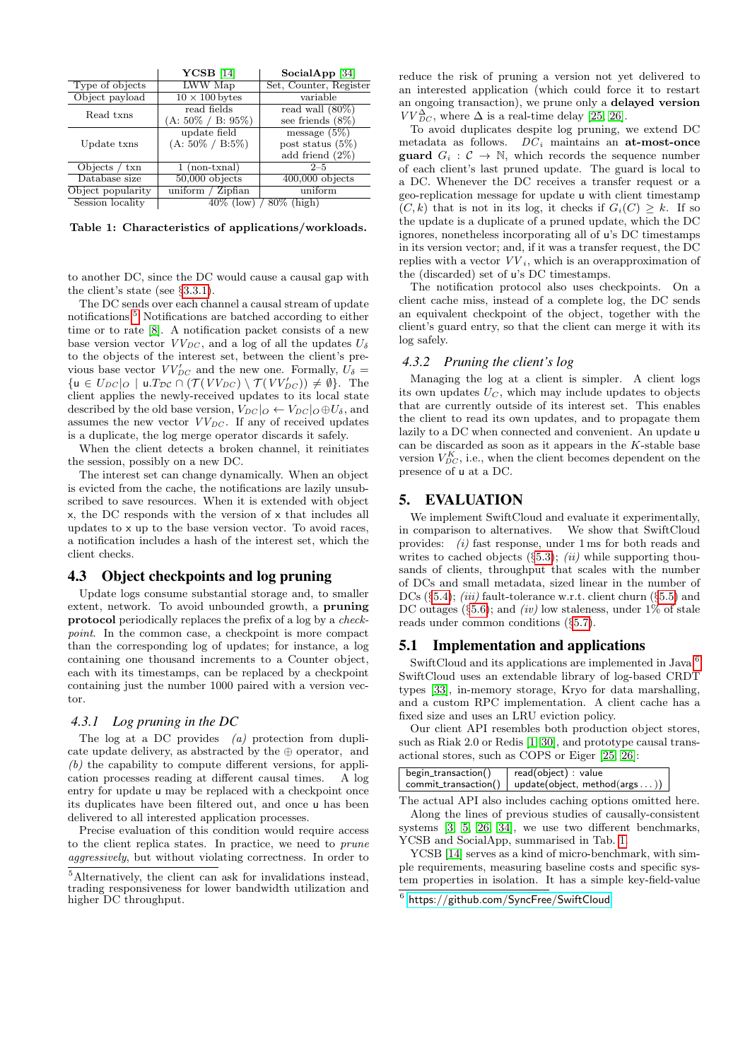|                   | $\textbf{YCSB}$ [14]   | SocialApp $ 34 $       |  |
|-------------------|------------------------|------------------------|--|
| Type of objects   | LWW Map                | Set, Counter, Register |  |
| Object payload    | $10 \times 100$ bytes  | variable               |  |
| Read txns         | read fields            | read wall $(80\%)$     |  |
|                   | $(A: 50\% / B: 95\%)$  | see friends $(8\%)$    |  |
| Update txns       | update field           | message $(5\%)$        |  |
|                   | $(A: 50\% / B:5\%)$    | post status $(5\%)$    |  |
|                   |                        | add friend $(2\%)$     |  |
| Objects $/\tan$   | $1 \pmod{2}$           | $2 - 5$                |  |
| Database size     | $50,000$ objects       | $400,000$ objects      |  |
| Object popularity | uniform $\ell$ Zipfian | uniform                |  |
| Session locality  | $40\%$ (low)           | $80\%$ (high)          |  |

<span id="page-6-2"></span>Table 1: Characteristics of applications/workloads.

to another DC, since the DC would cause a causal gap with the client's state (see §[3.3.1\)](#page-4-3).

The DC sends over each channel a causal stream of update  $10^{5}$  $10^{5}$  $10^{5}$  notifications are batched according to either time or to rate [\[8\]](#page-11-7). A notification packet consists of a new base version vector  $VV_{DC}$ , and a log of all the updates  $U_{\delta}$ to the objects of the interest set, between the client's previous base vector  $VV'_{DC}$  and the new one. Formally,  $U_{\delta} =$  $\{u \in U_{DC}|_{O} \mid u.T_{DC} \cap (\mathcal{T}(VV_{DC}) \setminus \mathcal{T}(VV'_{DC})) \neq \emptyset\}.$  The client applies the newly-received updates to its local state described by the old base version,  $V_{DC}|_Q \leftarrow V_{DC}|_Q \oplus U_{\delta}$ , and assumes the new vector  $VV_{DC}$ . If any of received updates is a duplicate, the log merge operator discards it safely.

When the client detects a broken channel, it reinitiates the session, possibly on a new DC.

The interest set can change dynamically. When an object is evicted from the cache, the notifications are lazily unsubscribed to save resources. When it is extended with object x, the DC responds with the version of x that includes all updates to x up to the base version vector. To avoid races, a notification includes a hash of the interest set, which the client checks.

#### 4.3 Object checkpoints and log pruning

Update logs consume substantial storage and, to smaller extent, network. To avoid unbounded growth, a pruning protocol periodically replaces the prefix of a log by a checkpoint. In the common case, a checkpoint is more compact than the corresponding log of updates; for instance, a log containing one thousand increments to a Counter object, each with its timestamps, can be replaced by a checkpoint containing just the number 1000 paired with a version vector.

#### *4.3.1 Log pruning in the DC*

The log at a DC provides  $(a)$  protection from duplicate update delivery, as abstracted by the  $oplus$  operator, and  $(b)$  the capability to compute different versions, for application processes reading at different causal times. A log entry for update u may be replaced with a checkpoint once its duplicates have been filtered out, and once u has been delivered to all interested application processes.

Precise evaluation of this condition would require access to the client replica states. In practice, we need to prune aggressively, but without violating correctness. In order to

reduce the risk of pruning a version not yet delivered to an interested application (which could force it to restart an ongoing transaction), we prune only a delayed version  $VV_{DC}^{\Delta}$ , where  $\Delta$  is a real-time delay [\[25,](#page-11-6) [26\]](#page-12-0).

To avoid duplicates despite log pruning, we extend DC metadata as follows.  $DC_i$  maintains an **at-most-once guard**  $G_i : \mathcal{C} \to \mathbb{N}$ , which records the sequence number of each client's last pruned update. The guard is local to a DC. Whenever the DC receives a transfer request or a geo-replication message for update u with client timestamp  $(C, k)$  that is not in its log, it checks if  $G_i(C) \geq k$ . If so the update is a duplicate of a pruned update, which the DC ignores, nonetheless incorporating all of u's DC timestamps in its version vector; and, if it was a transfer request, the DC replies with a vector  $VV_i$ , which is an overapproximation of the (discarded) set of u's DC timestamps.

The notification protocol also uses checkpoints. On a client cache miss, instead of a complete log, the DC sends an equivalent checkpoint of the object, together with the client's guard entry, so that the client can merge it with its log safely.

## *4.3.2 Pruning the client's log*

Managing the log at a client is simpler. A client logs its own updates  $U_C$ , which may include updates to objects that are currently outside of its interest set. This enables the client to read its own updates, and to propagate them lazily to a DC when connected and convenient. An update u can be discarded as soon as it appears in the  $K$ -stable base version  $V_{DC}^K$ , i.e., when the client becomes dependent on the presence of u at a DC.

#### 5. EVALUATION

We implement SwiftCloud and evaluate it experimentally, in comparison to alternatives. We show that SwiftCloud provides: (i) fast response, under 1 ms for both reads and writes to cached objects ( $\S5.3$ ); (ii) while supporting thousands of clients, throughput that scales with the number of DCs and small metadata, sized linear in the number of DCs  $(\S 5.4)$  $(\S 5.4)$ ; *(iii)* fault-tolerance w.r.t. client churn  $(\S 5.5)$  $(\S 5.5)$  and DC outages ( $\S5.6$ ); and *(iv)* low staleness, under 1% of stale reads under common conditions (§[5.7\)](#page-9-2).

#### 5.1 Implementation and applications

SwiftCloud and its applications are implemented in Java.<sup>[6](#page-6-1)</sup> SwiftCloud uses an extendable library of log-based CRDT types [\[33\]](#page-12-3), in-memory storage, Kryo for data marshalling, and a custom RPC implementation. A client cache has a fixed size and uses an LRU eviction policy.

Our client API resembles both production object stores, such as Riak 2.0 or Redis [\[1,](#page-11-18) [30\]](#page-12-10), and prototype causal transactional stores, such as COPS or Eiger [\[25,](#page-11-6) [26\]](#page-12-0):

| $begin_{\rm begin\_transaction()}$   read(object) : value |                                                                        |
|-----------------------------------------------------------|------------------------------------------------------------------------|
|                                                           | $\mid$ commit_transaction() $\mid$ update(object, method(args)) $\mid$ |

The actual API also includes caching options omitted here. Along the lines of previous studies of causally-consistent

systems [\[3,](#page-11-3) [5,](#page-11-4) [26,](#page-12-0) [34\]](#page-12-5), we use two different benchmarks, YCSB and SocialApp, summarised in Tab. [1.](#page-6-2)

YCSB [\[14\]](#page-11-11) serves as a kind of micro-benchmark, with simple requirements, measuring baseline costs and specific system properties in isolation. It has a simple key-field-value

<span id="page-6-0"></span> $\sqrt[5]{\text{Alternatively}}$ , the client can ask for invalidations instead, trading responsiveness for lower bandwidth utilization and higher DC throughput.

<span id="page-6-1"></span> $^6$  <https://github.com/SyncFree/SwiftCloud>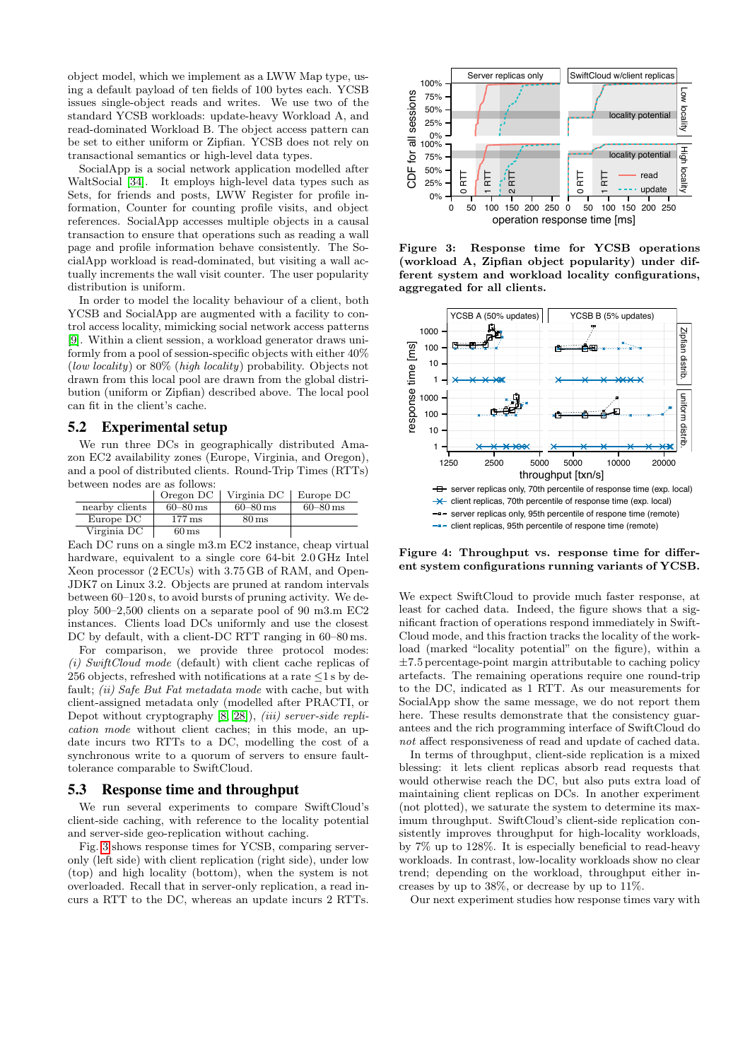object model, which we implement as a LWW Map type, using a default payload of ten fields of 100 bytes each. YCSB issues single-object reads and writes. We use two of the standard YCSB workloads: update-heavy Workload A, and read-dominated Workload B. The object access pattern can be set to either uniform or Zipfian. YCSB does not rely on transactional semantics or high-level data types.

SocialApp is a social network application modelled after WaltSocial [\[34\]](#page-12-5). It employs high-level data types such as Sets, for friends and posts, LWW Register for profile information, Counter for counting profile visits, and object references. SocialApp accesses multiple objects in a causal transaction to ensure that operations such as reading a wall page and profile information behave consistently. The SocialApp workload is read-dominated, but visiting a wall actually increments the wall visit counter. The user popularity distribution is uniform.

In order to model the locality behaviour of a client, both YCSB and SocialApp are augmented with a facility to control access locality, mimicking social network access patterns [\[9\]](#page-11-21). Within a client session, a workload generator draws uniformly from a pool of session-specific objects with either 40% (low locality) or 80% (high locality) probability. Objects not drawn from this local pool are drawn from the global distribution (uniform or Zipfian) described above. The local pool can fit in the client's cache.

## 5.2 Experimental setup

We run three DCs in geographically distributed Amazon EC2 availability zones (Europe, Virginia, and Oregon), and a pool of distributed clients. Round-Trip Times (RTTs) between nodes are as follows:

|                | Oregon DC           | Virginia DC        | Europe DC    |
|----------------|---------------------|--------------------|--------------|
| nearby clients | $60 - 80$ ms        | $60 - 80$ ms       | $60 - 80$ ms |
| Europe DC      | $177 \,\mathrm{ms}$ | $80 \,\mathrm{ms}$ |              |
| Virginia DC    | $60 \,\mathrm{ms}$  |                    |              |

Each DC runs on a single m3.m EC2 instance, cheap virtual hardware, equivalent to a single core 64-bit 2.0 GHz Intel Xeon processor (2 ECUs) with 3.75 GB of RAM, and Open-JDK7 on Linux 3.2. Objects are pruned at random intervals between 60–120 s, to avoid bursts of pruning activity. We deploy 500–2,500 clients on a separate pool of 90 m3.m EC2 instances. Clients load DCs uniformly and use the closest DC by default, with a client-DC RTT ranging in  $60-80$  ms.

For comparison, we provide three protocol modes: (i) SwiftCloud mode (default) with client cache replicas of 256 objects, refreshed with notifications at a rate  $\leq$ 1 s by default; *(ii)* Safe But Fat metadata mode with cache, but with client-assigned metadata only (modelled after PRACTI, or Depot without cryptography [\[8,](#page-11-7) [28\]](#page-12-1)), *(iii) server-side repli*cation mode without client caches; in this mode, an update incurs two RTTs to a DC, modelling the cost of a synchronous write to a quorum of servers to ensure faulttolerance comparable to SwiftCloud.

## <span id="page-7-0"></span>5.3 Response time and throughput

We run several experiments to compare SwiftCloud's client-side caching, with reference to the locality potential and server-side geo-replication without caching.

Fig. [3](#page-7-1) shows response times for YCSB, comparing serveronly (left side) with client replication (right side), under low (top) and high locality (bottom), when the system is not overloaded. Recall that in server-only replication, a read incurs a RTT to the DC, whereas an update incurs 2 RTTs.



<span id="page-7-1"></span>Figure 3: Response time for YCSB operations (workload A, Zipfian object popularity) under different system and workload locality configurations, aggregated for all clients.



<span id="page-7-2"></span>Figure 4: Throughput vs. response time for different system configurations running variants of YCSB.

We expect SwiftCloud to provide much faster response, at least for cached data. Indeed, the figure shows that a significant fraction of operations respond immediately in Swift-Cloud mode, and this fraction tracks the locality of the workload (marked "locality potential" on the figure), within a  $\pm 7.5$  percentage-point margin attributable to caching policy artefacts. The remaining operations require one round-trip to the DC, indicated as 1 RTT. As our measurements for SocialApp show the same message, we do not report them here. These results demonstrate that the consistency guarantees and the rich programming interface of SwiftCloud do not affect responsiveness of read and update of cached data.

In terms of throughput, client-side replication is a mixed blessing: it lets client replicas absorb read requests that would otherwise reach the DC, but also puts extra load of maintaining client replicas on DCs. In another experiment (not plotted), we saturate the system to determine its maximum throughput. SwiftCloud's client-side replication consistently improves throughput for high-locality workloads, by 7% up to 128%. It is especially beneficial to read-heavy workloads. In contrast, low-locality workloads show no clear trend; depending on the workload, throughput either increases by up to 38%, or decrease by up to 11%.

Our next experiment studies how response times vary with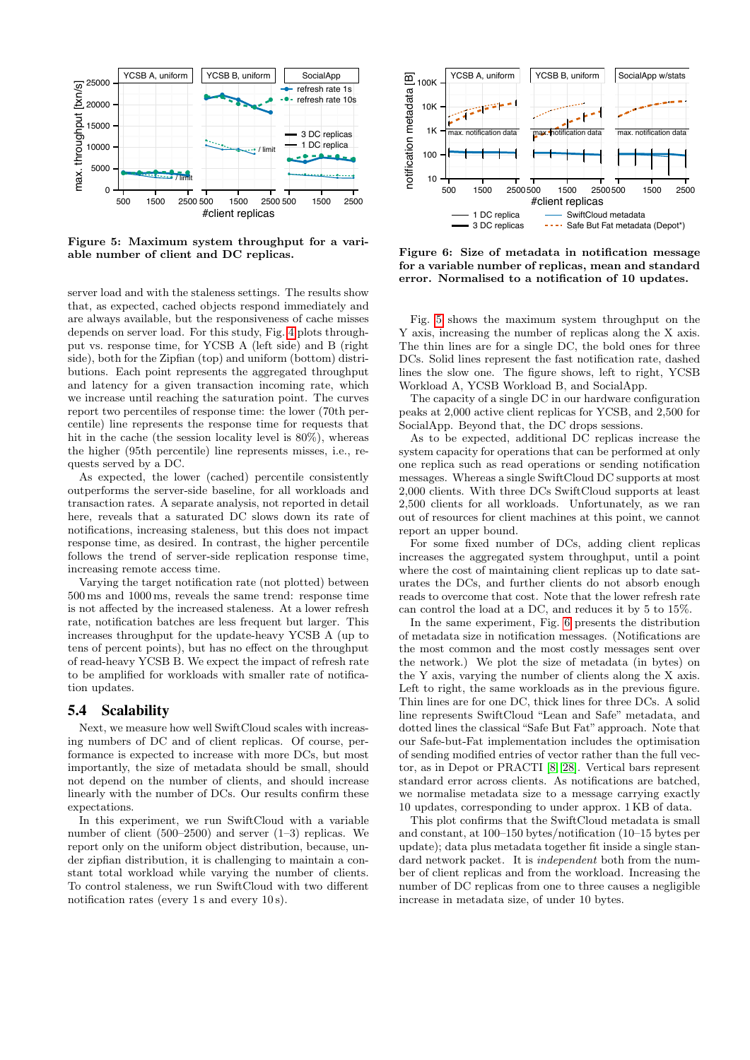

<span id="page-8-1"></span>Figure 5: Maximum system throughput for a variable number of client and DC replicas.

server load and with the staleness settings. The results show that, as expected, cached objects respond immediately and are always available, but the responsiveness of cache misses depends on server load. For this study, Fig. [4](#page-7-2) plots throughput vs. response time, for YCSB A (left side) and B (right side), both for the Zipfian (top) and uniform (bottom) distributions. Each point represents the aggregated throughput and latency for a given transaction incoming rate, which we increase until reaching the saturation point. The curves report two percentiles of response time: the lower (70th percentile) line represents the response time for requests that hit in the cache (the session locality level is  $80\%$ ), whereas the higher (95th percentile) line represents misses, i.e., requests served by a DC.

As expected, the lower (cached) percentile consistently outperforms the server-side baseline, for all workloads and transaction rates. A separate analysis, not reported in detail here, reveals that a saturated DC slows down its rate of notifications, increasing staleness, but this does not impact response time, as desired. In contrast, the higher percentile follows the trend of server-side replication response time, increasing remote access time.

Varying the target notification rate (not plotted) between 500 ms and 1000 ms, reveals the same trend: response time is not affected by the increased staleness. At a lower refresh rate, notification batches are less frequent but larger. This increases throughput for the update-heavy YCSB A (up to tens of percent points), but has no effect on the throughput of read-heavy YCSB B. We expect the impact of refresh rate to be amplified for workloads with smaller rate of notification updates.

## <span id="page-8-0"></span>5.4 Scalability

Next, we measure how well SwiftCloud scales with increasing numbers of DC and of client replicas. Of course, performance is expected to increase with more DCs, but most importantly, the size of metadata should be small, should not depend on the number of clients, and should increase linearly with the number of DCs. Our results confirm these expectations.

In this experiment, we run SwiftCloud with a variable number of client (500–2500) and server (1–3) replicas. We report only on the uniform object distribution, because, under zipfian distribution, it is challenging to maintain a constant total workload while varying the number of clients. To control staleness, we run SwiftCloud with two different notification rates (every 1s and every 10s).



<span id="page-8-2"></span>Figure 6: Size of metadata in notification message for a variable number of replicas, mean and standard error. Normalised to a notification of 10 updates.

Fig. [5](#page-8-1) shows the maximum system throughput on the Y axis, increasing the number of replicas along the X axis. The thin lines are for a single DC, the bold ones for three DCs. Solid lines represent the fast notification rate, dashed lines the slow one. The figure shows, left to right, YCSB Workload A, YCSB Workload B, and SocialApp.

The capacity of a single DC in our hardware configuration peaks at 2,000 active client replicas for YCSB, and 2,500 for SocialApp. Beyond that, the DC drops sessions.

As to be expected, additional DC replicas increase the system capacity for operations that can be performed at only one replica such as read operations or sending notification messages. Whereas a single SwiftCloud DC supports at most 2,000 clients. With three DCs SwiftCloud supports at least 2,500 clients for all workloads. Unfortunately, as we ran out of resources for client machines at this point, we cannot report an upper bound.

For some fixed number of DCs, adding client replicas increases the aggregated system throughput, until a point where the cost of maintaining client replicas up to date saturates the DCs, and further clients do not absorb enough reads to overcome that cost. Note that the lower refresh rate can control the load at a DC, and reduces it by 5 to 15%.

In the same experiment, Fig. [6](#page-8-2) presents the distribution of metadata size in notification messages. (Notifications are the most common and the most costly messages sent over the network.) We plot the size of metadata (in bytes) on the Y axis, varying the number of clients along the X axis. Left to right, the same workloads as in the previous figure. Thin lines are for one DC, thick lines for three DCs. A solid line represents SwiftCloud "Lean and Safe" metadata, and dotted lines the classical "Safe But Fat" approach. Note that our Safe-but-Fat implementation includes the optimisation of sending modified entries of vector rather than the full vector, as in Depot or PRACTI [\[8,](#page-11-7) [28\]](#page-12-1). Vertical bars represent standard error across clients. As notifications are batched, we normalise metadata size to a message carrying exactly 10 updates, corresponding to under approx. 1 KB of data.

This plot confirms that the SwiftCloud metadata is small and constant, at 100–150 bytes/notification (10–15 bytes per update); data plus metadata together fit inside a single standard network packet. It is independent both from the number of client replicas and from the workload. Increasing the number of DC replicas from one to three causes a negligible increase in metadata size, of under 10 bytes.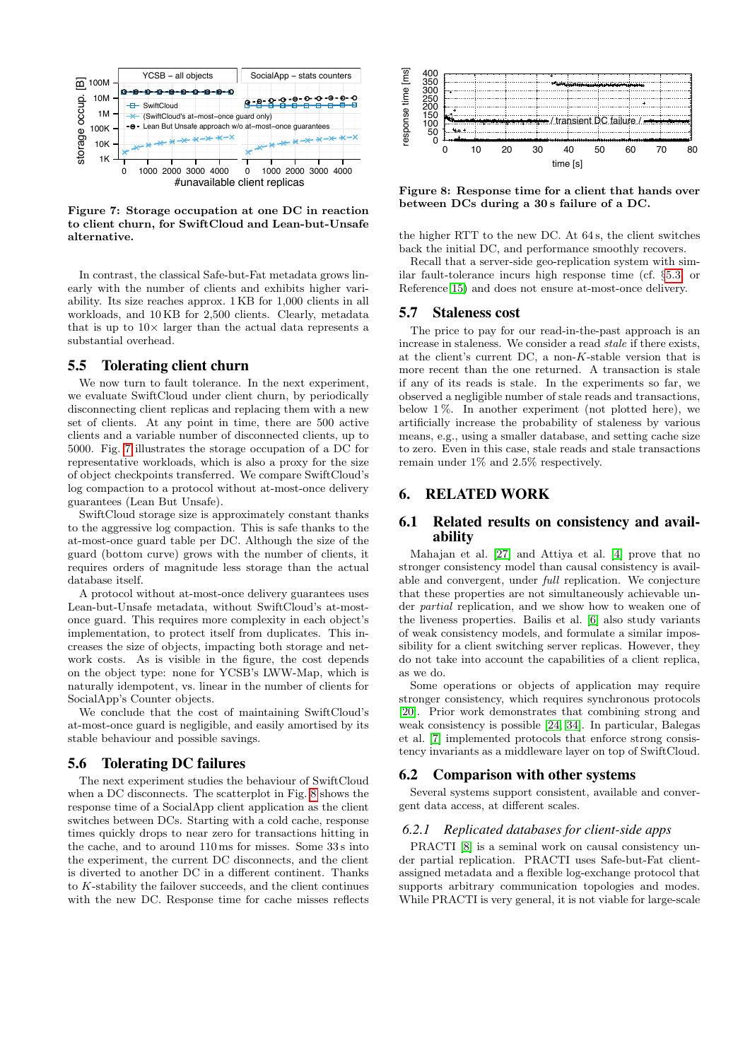

<span id="page-9-3"></span>Figure 7: Storage occupation at one DC in reaction to client churn, for SwiftCloud and Lean-but-Unsafe alternative.

In contrast, the classical Safe-but-Fat metadata grows linearly with the number of clients and exhibits higher variability. Its size reaches approx. 1 KB for 1,000 clients in all workloads, and 10 KB for 2,500 clients. Clearly, metadata that is up to  $10\times$  larger than the actual data represents a substantial overhead.

## <span id="page-9-0"></span>5.5 Tolerating client churn

We now turn to fault tolerance. In the next experiment, we evaluate SwiftCloud under client churn, by periodically disconnecting client replicas and replacing them with a new set of clients. At any point in time, there are 500 active clients and a variable number of disconnected clients, up to 5000. Fig. [7](#page-9-3) illustrates the storage occupation of a DC for representative workloads, which is also a proxy for the size of object checkpoints transferred. We compare SwiftCloud's log compaction to a protocol without at-most-once delivery guarantees (Lean But Unsafe).

SwiftCloud storage size is approximately constant thanks to the aggressive log compaction. This is safe thanks to the at-most-once guard table per DC. Although the size of the guard (bottom curve) grows with the number of clients, it requires orders of magnitude less storage than the actual database itself.

A protocol without at-most-once delivery guarantees uses Lean-but-Unsafe metadata, without SwiftCloud's at-mostonce guard. This requires more complexity in each object's implementation, to protect itself from duplicates. This increases the size of objects, impacting both storage and network costs. As is visible in the figure, the cost depends on the object type: none for YCSB's LWW-Map, which is naturally idempotent, vs. linear in the number of clients for SocialApp's Counter objects.

We conclude that the cost of maintaining SwiftCloud's at-most-once guard is negligible, and easily amortised by its stable behaviour and possible savings.

## <span id="page-9-1"></span>5.6 Tolerating DC failures

The next experiment studies the behaviour of SwiftCloud when a DC disconnects. The scatterplot in Fig. [8](#page-9-4) shows the response time of a SocialApp client application as the client switches between DCs. Starting with a cold cache, response times quickly drops to near zero for transactions hitting in the cache, and to around 110 ms for misses. Some 33 s into the experiment, the current DC disconnects, and the client is diverted to another DC in a different continent. Thanks to  $K$ -stability the failover succeeds, and the client continues with the new DC. Response time for cache misses reflects



<span id="page-9-4"></span>Figure 8: Response time for a client that hands over between DCs during a 30 s failure of a DC.

the higher RTT to the new DC. At 64 s, the client switches back the initial DC, and performance smoothly recovers.

Recall that a server-side geo-replication system with similar fault-tolerance incurs high response time (cf. §[5.3,](#page-7-0) or Reference [15\)](#page-11-19) and does not ensure at-most-once delivery.

#### <span id="page-9-2"></span>5.7 Staleness cost

The price to pay for our read-in-the-past approach is an increase in staleness. We consider a read stale if there exists, at the client's current DC, a non- $K$ -stable version that is more recent than the one returned. A transaction is stale if any of its reads is stale. In the experiments so far, we observed a negligible number of stale reads and transactions, below  $1\%$ . In another experiment (not plotted here), we artificially increase the probability of staleness by various means, e.g., using a smaller database, and setting cache size to zero. Even in this case, stale reads and stale transactions remain under 1% and 2.5% respectively.

## 6. RELATED WORK

## 6.1 Related results on consistency and availability

Mahajan et al. [\[27\]](#page-12-2) and Attiya et al. [\[4\]](#page-11-8) prove that no stronger consistency model than causal consistency is available and convergent, under full replication. We conjecture that these properties are not simultaneously achievable under partial replication, and we show how to weaken one of the liveness properties. Bailis et al. [\[6\]](#page-11-9) also study variants of weak consistency models, and formulate a similar impossibility for a client switching server replicas. However, they do not take into account the capabilities of a client replica, as we do.

Some operations or objects of application may require stronger consistency, which requires synchronous protocols [\[20\]](#page-11-13). Prior work demonstrates that combining strong and weak consistency is possible [\[24,](#page-11-22) [34\]](#page-12-5). In particular, Balegas et al. [\[7\]](#page-11-23) implemented protocols that enforce strong consistency invariants as a middleware layer on top of SwiftCloud.

## 6.2 Comparison with other systems

Several systems support consistent, available and convergent data access, at different scales.

#### *6.2.1 Replicated databases for client-side apps*

PRACTI [\[8\]](#page-11-7) is a seminal work on causal consistency under partial replication. PRACTI uses Safe-but-Fat clientassigned metadata and a flexible log-exchange protocol that supports arbitrary communication topologies and modes. While PRACTI is very general, it is not viable for large-scale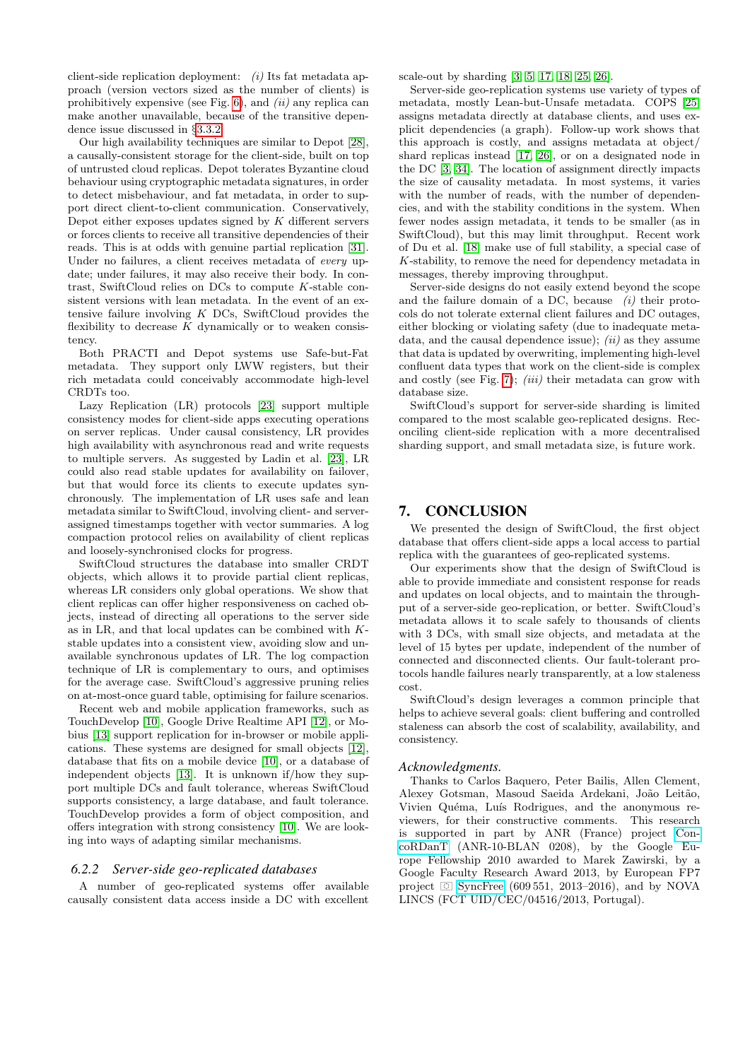client-side replication deployment:  $(i)$  Its fat metadata approach (version vectors sized as the number of clients) is prohibitively expensive (see Fig.  $6$ ), and  $(ii)$  any replica can make another unavailable, because of the transitive dependence issue discussed in §[3.3.2.](#page-4-4)

Our high availability techniques are similar to Depot [\[28\]](#page-12-1), a causally-consistent storage for the client-side, built on top of untrusted cloud replicas. Depot tolerates Byzantine cloud behaviour using cryptographic metadata signatures, in order to detect misbehaviour, and fat metadata, in order to support direct client-to-client communication. Conservatively, Depot either exposes updates signed by  $K$  different servers or forces clients to receive all transitive dependencies of their reads. This is at odds with genuine partial replication [\[31\]](#page-12-7). Under no failures, a client receives metadata of every update; under failures, it may also receive their body. In contrast, SwiftCloud relies on DCs to compute K-stable consistent versions with lean metadata. In the event of an extensive failure involving  $K$  DCs, SwiftCloud provides the flexibility to decrease  $K$  dynamically or to weaken consistency.

Both PRACTI and Depot systems use Safe-but-Fat metadata. They support only LWW registers, but their rich metadata could conceivably accommodate high-level CRDTs too.

Lazy Replication (LR) protocols [\[23\]](#page-11-10) support multiple consistency modes for client-side apps executing operations on server replicas. Under causal consistency, LR provides high availability with asynchronous read and write requests to multiple servers. As suggested by Ladin et al. [\[23\]](#page-11-10), LR could also read stable updates for availability on failover, but that would force its clients to execute updates synchronously. The implementation of LR uses safe and lean metadata similar to SwiftCloud, involving client- and serverassigned timestamps together with vector summaries. A log compaction protocol relies on availability of client replicas and loosely-synchronised clocks for progress.

SwiftCloud structures the database into smaller CRDT objects, which allows it to provide partial client replicas, whereas LR considers only global operations. We show that client replicas can offer higher responsiveness on cached objects, instead of directing all operations to the server side as in LR, and that local updates can be combined with Kstable updates into a consistent view, avoiding slow and unavailable synchronous updates of LR. The log compaction technique of LR is complementary to ours, and optimises for the average case. SwiftCloud's aggressive pruning relies on at-most-once guard table, optimising for failure scenarios.

Recent web and mobile application frameworks, such as TouchDevelop [\[10\]](#page-11-0), Google Drive Realtime API [\[12\]](#page-11-1), or Mobius [\[13\]](#page-11-2) support replication for in-browser or mobile applications. These systems are designed for small objects [\[12\]](#page-11-1), database that fits on a mobile device [\[10\]](#page-11-0), or a database of independent objects [\[13\]](#page-11-2). It is unknown if/how they support multiple DCs and fault tolerance, whereas SwiftCloud supports consistency, a large database, and fault tolerance. TouchDevelop provides a form of object composition, and offers integration with strong consistency [\[10\]](#page-11-0). We are looking into ways of adapting similar mechanisms.

#### *6.2.2 Server-side geo-replicated databases*

A number of geo-replicated systems offer available causally consistent data access inside a DC with excellent scale-out by sharding [\[3,](#page-11-3) [5,](#page-11-4) [17,](#page-11-5) [18,](#page-11-24) [25,](#page-11-6) [26\]](#page-12-0).

Server-side geo-replication systems use variety of types of metadata, mostly Lean-but-Unsafe metadata. COPS [\[25\]](#page-11-6) assigns metadata directly at database clients, and uses explicit dependencies (a graph). Follow-up work shows that this approach is costly, and assigns metadata at object/ shard replicas instead [\[17,](#page-11-5) [26\]](#page-12-0), or on a designated node in the DC [\[3,](#page-11-3) [34\]](#page-12-5). The location of assignment directly impacts the size of causality metadata. In most systems, it varies with the number of reads, with the number of dependencies, and with the stability conditions in the system. When fewer nodes assign metadata, it tends to be smaller (as in SwiftCloud), but this may limit throughput. Recent work of Du et al. [\[18\]](#page-11-24) make use of full stability, a special case of K-stability, to remove the need for dependency metadata in messages, thereby improving throughput.

Server-side designs do not easily extend beyond the scope and the failure domain of a DC, because  $(i)$  their protocols do not tolerate external client failures and DC outages, either blocking or violating safety (due to inadequate metadata, and the causal dependence issue);  $(ii)$  as they assume that data is updated by overwriting, implementing high-level confluent data types that work on the client-side is complex and costly (see Fig. [7\)](#page-9-3);  $(iii)$  their metadata can grow with database size.

SwiftCloud's support for server-side sharding is limited compared to the most scalable geo-replicated designs. Reconciling client-side replication with a more decentralised sharding support, and small metadata size, is future work.

## 7. CONCLUSION

We presented the design of SwiftCloud, the first object database that offers client-side apps a local access to partial replica with the guarantees of geo-replicated systems.

Our experiments show that the design of SwiftCloud is able to provide immediate and consistent response for reads and updates on local objects, and to maintain the throughput of a server-side geo-replication, or better. SwiftCloud's metadata allows it to scale safely to thousands of clients with 3 DCs, with small size objects, and metadata at the level of 15 bytes per update, independent of the number of connected and disconnected clients. Our fault-tolerant protocols handle failures nearly transparently, at a low staleness cost.

SwiftCloud's design leverages a common principle that helps to achieve several goals: client buffering and controlled staleness can absorb the cost of scalability, availability, and consistency.

#### *Acknowledgments.*

Thanks to Carlos Baquero, Peter Bailis, Allen Clement, Alexey Gotsman, Masoud Saeida Ardekani, João Leitão, Vivien Quéma, Luís Rodrigues, and the anonymous reviewers, for their constructive comments. This research is supported in part by ANR (France) project [Con](http://concordant.lip6.fr/)[coRDanT](http://concordant.lip6.fr/) (ANR-10-BLAN 0208), by the Google Europe Fellowship 2010 awarded to Marek Zawirski, by a Google Faculty Research Award 2013, by European FP7 project  $\Box$  [SyncFree](http://syncfree.lip6.fr/) (609 551, 2013–2016), and by NOVA LINCS (FCT UID/CEC/04516/2013, Portugal).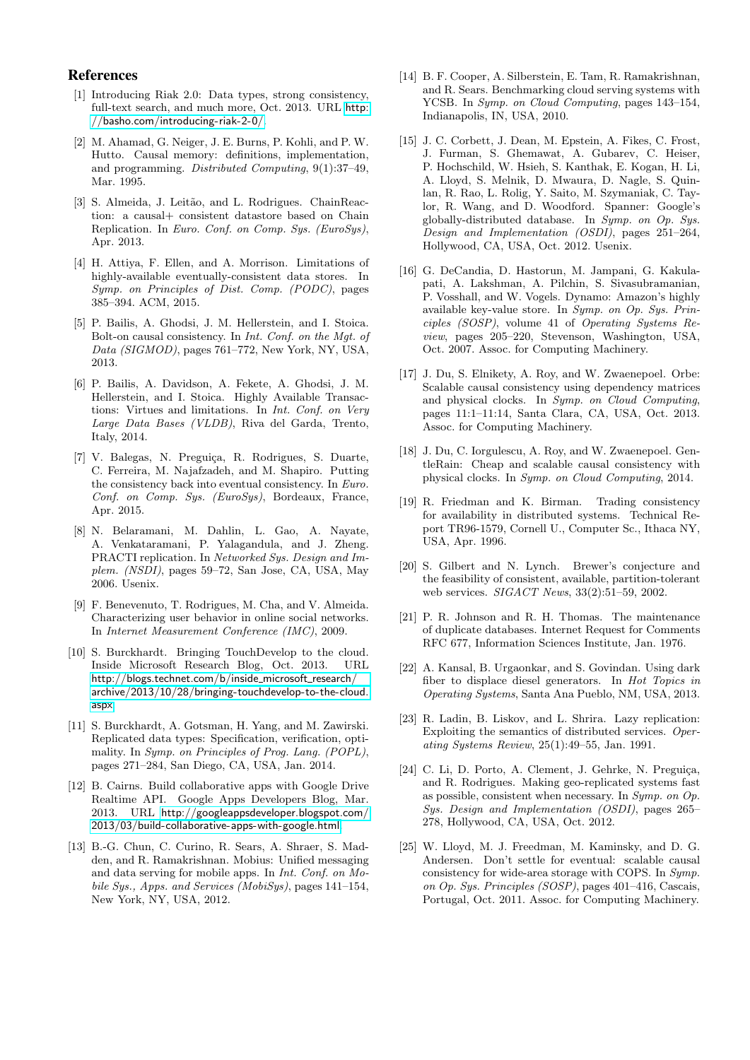## References

- <span id="page-11-18"></span>[1] Introducing Riak 2.0: Data types, strong consistency, full-text search, and much more, Oct. 2013. URL [http:](http://basho.com/introducing-riak-2-0/) [//basho.com/introducing-riak-2-0/](http://basho.com/introducing-riak-2-0/).
- <span id="page-11-14"></span>[2] M. Ahamad, G. Neiger, J. E. Burns, P. Kohli, and P. W. Hutto. Causal memory: definitions, implementation, and programming. Distributed Computing, 9(1):37–49, Mar. 1995.
- <span id="page-11-3"></span>[3] S. Almeida, J. Leitão, and L. Rodrigues. ChainReaction: a causal+ consistent datastore based on Chain Replication. In Euro. Conf. on Comp. Sys. (EuroSys). Apr. 2013.
- <span id="page-11-8"></span>[4] H. Attiya, F. Ellen, and A. Morrison. Limitations of highly-available eventually-consistent data stores. In Symp. on Principles of Dist. Comp. (PODC), pages 385–394. ACM, 2015.
- <span id="page-11-4"></span>[5] P. Bailis, A. Ghodsi, J. M. Hellerstein, and I. Stoica. Bolt-on causal consistency. In Int. Conf. on the Mgt. of Data (SIGMOD), pages 761–772, New York, NY, USA, 2013.
- <span id="page-11-9"></span>[6] P. Bailis, A. Davidson, A. Fekete, A. Ghodsi, J. M. Hellerstein, and I. Stoica. Highly Available Transactions: Virtues and limitations. In Int. Conf. on Very Large Data Bases (VLDB), Riva del Garda, Trento, Italy, 2014.
- <span id="page-11-23"></span>[7] V. Balegas, N. Preguiça, R. Rodrigues, S. Duarte, C. Ferreira, M. Najafzadeh, and M. Shapiro. Putting the consistency back into eventual consistency. In Euro. Conf. on Comp. Sys. (EuroSys), Bordeaux, France, Apr. 2015.
- <span id="page-11-7"></span>[8] N. Belaramani, M. Dahlin, L. Gao, A. Nayate, A. Venkataramani, P. Yalagandula, and J. Zheng. PRACTI replication. In Networked Sys. Design and Implem. (NSDI), pages 59–72, San Jose, CA, USA, May 2006. Usenix.
- <span id="page-11-21"></span>[9] F. Benevenuto, T. Rodrigues, M. Cha, and V. Almeida. Characterizing user behavior in online social networks. In Internet Measurement Conference (IMC), 2009.
- <span id="page-11-0"></span>[10] S. Burckhardt. Bringing TouchDevelop to the cloud. Inside Microsoft Research Blog, Oct. 2013. URL [http://blogs.technet.com/b/inside](http://blogs.technet.com/b/inside_microsoft_research/archive/2013/10/28/bringing-touchdevelop-to-the-cloud.aspx)\_microsoft\_research/ [archive/2013/10/28/bringing-touchdevelop-to-the-cloud.](http://blogs.technet.com/b/inside_microsoft_research/archive/2013/10/28/bringing-touchdevelop-to-the-cloud.aspx) [aspx](http://blogs.technet.com/b/inside_microsoft_research/archive/2013/10/28/bringing-touchdevelop-to-the-cloud.aspx).
- <span id="page-11-15"></span>[11] S. Burckhardt, A. Gotsman, H. Yang, and M. Zawirski. Replicated data types: Specification, verification, optimality. In Symp. on Principles of Prog. Lang. (POPL), pages 271–284, San Diego, CA, USA, Jan. 2014.
- <span id="page-11-1"></span>[12] B. Cairns. Build collaborative apps with Google Drive Realtime API. Google Apps Developers Blog, Mar. 2013. URL [http://googleappsdeveloper.blogspot.com/](http://googleappsdeveloper.blogspot.com/2013/03/build-collaborative-apps-with-google.html) [2013/03/build-collaborative-apps-with-google.html](http://googleappsdeveloper.blogspot.com/2013/03/build-collaborative-apps-with-google.html).
- <span id="page-11-2"></span>[13] B.-G. Chun, C. Curino, R. Sears, A. Shraer, S. Madden, and R. Ramakrishnan. Mobius: Unified messaging and data serving for mobile apps. In Int. Conf. on Mobile Sys., Apps. and Services (MobiSys), pages 141–154, New York, NY, USA, 2012.
- <span id="page-11-11"></span>[14] B. F. Cooper, A. Silberstein, E. Tam, R. Ramakrishnan, and R. Sears. Benchmarking cloud serving systems with YCSB. In Symp. on Cloud Computing, pages 143–154, Indianapolis, IN, USA, 2010.
- <span id="page-11-19"></span>[15] J. C. Corbett, J. Dean, M. Epstein, A. Fikes, C. Frost, J. Furman, S. Ghemawat, A. Gubarev, C. Heiser, P. Hochschild, W. Hsieh, S. Kanthak, E. Kogan, H. Li, A. Lloyd, S. Melnik, D. Mwaura, D. Nagle, S. Quinlan, R. Rao, L. Rolig, Y. Saito, M. Szymaniak, C. Taylor, R. Wang, and D. Woodford. Spanner: Google's globally-distributed database. In Symp. on Op. Sys. Design and Implementation (OSDI), pages 251–264, Hollywood, CA, USA, Oct. 2012. Usenix.
- <span id="page-11-16"></span>[16] G. DeCandia, D. Hastorun, M. Jampani, G. Kakulapati, A. Lakshman, A. Pilchin, S. Sivasubramanian, P. Vosshall, and W. Vogels. Dynamo: Amazon's highly available key-value store. In Symp. on Op. Sys. Principles (SOSP), volume 41 of Operating Systems Review, pages 205–220, Stevenson, Washington, USA, Oct. 2007. Assoc. for Computing Machinery.
- <span id="page-11-5"></span>[17] J. Du, S. Elnikety, A. Roy, and W. Zwaenepoel. Orbe: Scalable causal consistency using dependency matrices and physical clocks. In Symp. on Cloud Computing, pages 11:1–11:14, Santa Clara, CA, USA, Oct. 2013. Assoc. for Computing Machinery.
- <span id="page-11-24"></span>[18] J. Du, C. Iorgulescu, A. Roy, and W. Zwaenepoel. GentleRain: Cheap and scalable causal consistency with physical clocks. In Symp. on Cloud Computing, 2014.
- <span id="page-11-12"></span>[19] R. Friedman and K. Birman. Trading consistency for availability in distributed systems. Technical Report TR96-1579, Cornell U., Computer Sc., Ithaca NY, USA, Apr. 1996.
- <span id="page-11-13"></span>[20] S. Gilbert and N. Lynch. Brewer's conjecture and the feasibility of consistent, available, partition-tolerant web services. SIGACT News, 33(2):51–59, 2002.
- <span id="page-11-17"></span>[21] P. R. Johnson and R. H. Thomas. The maintenance of duplicate databases. Internet Request for Comments RFC 677, Information Sciences Institute, Jan. 1976.
- <span id="page-11-20"></span>[22] A. Kansal, B. Urgaonkar, and S. Govindan. Using dark fiber to displace diesel generators. In Hot Topics in Operating Systems, Santa Ana Pueblo, NM, USA, 2013.
- <span id="page-11-10"></span>[23] R. Ladin, B. Liskov, and L. Shrira. Lazy replication: Exploiting the semantics of distributed services. Operating Systems Review, 25(1):49–55, Jan. 1991.
- <span id="page-11-22"></span>[24] C. Li, D. Porto, A. Clement, J. Gehrke, N. Preguiça, and R. Rodrigues. Making geo-replicated systems fast as possible, consistent when necessary. In Symp. on Op. Sys. Design and Implementation (OSDI), pages 265– 278, Hollywood, CA, USA, Oct. 2012.
- <span id="page-11-6"></span>[25] W. Lloyd, M. J. Freedman, M. Kaminsky, and D. G. Andersen. Don't settle for eventual: scalable causal consistency for wide-area storage with COPS. In Symp. on Op. Sys. Principles (SOSP), pages 401–416, Cascais, Portugal, Oct. 2011. Assoc. for Computing Machinery.